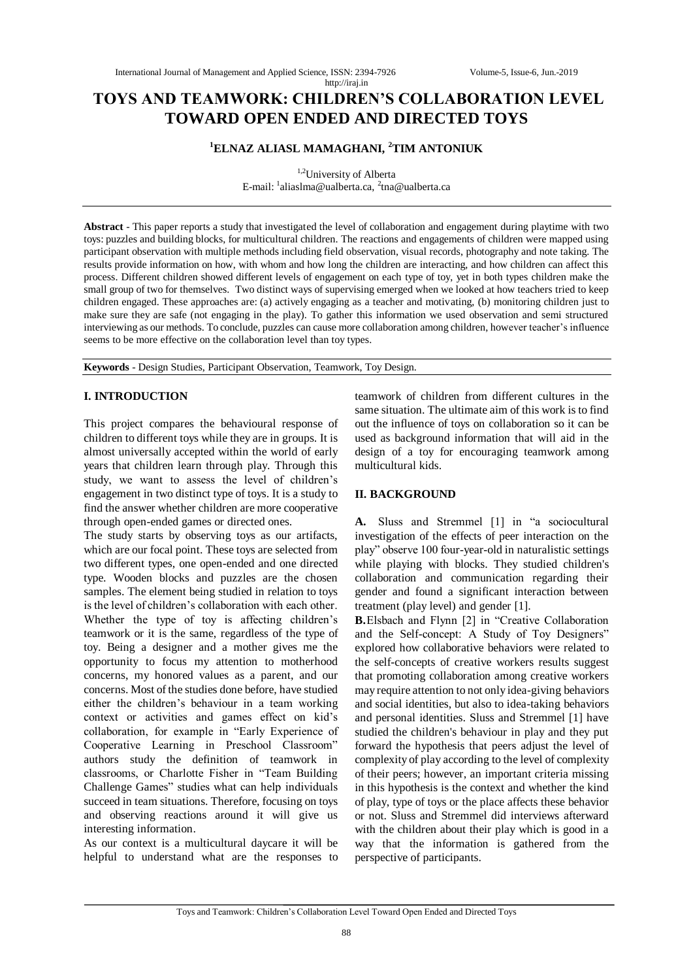# **TOYS AND TEAMWORK: CHILDREN'S COLLABORATION LEVEL TOWARD OPEN ENDED AND DIRECTED TOYS**

http://iraj.in

## **<sup>1</sup>ELNAZ ALIASL MAMAGHANI, <sup>2</sup>TIM ANTONIUK**

 $1,2$ University of Alberta E-mail: <sup>1</sup>aliaslma@ualberta.ca, <sup>2</sup>tna@ualberta.ca

**Abstract** - This paper reports a study that investigated the level of collaboration and engagement during playtime with two toys: puzzles and building blocks, for multicultural children. The reactions and engagements of children were mapped using participant observation with multiple methods including field observation, visual records, photography and note taking. The results provide information on how, with whom and how long the children are interacting, and how children can affect this process. Different children showed different levels of engagement on each type of toy, yet in both types children make the small group of two for themselves. Two distinct ways of supervising emerged when we looked at how teachers tried to keep children engaged. These approaches are: (a) actively engaging as a teacher and motivating, (b) monitoring children just to make sure they are safe (not engaging in the play). To gather this information we used observation and semi structured interviewing as our methods. To conclude, puzzles can cause more collaboration among children, however teacher's influence seems to be more effective on the collaboration level than toy types.

**Keywords** - Design Studies, Participant Observation, Teamwork, Toy Design.

### **I. INTRODUCTION**

This project compares the behavioural response of children to different toys while they are in groups. It is almost universally accepted within the world of early years that children learn through play. Through this study, we want to assess the level of children's engagement in two distinct type of toys. It is a study to find the answer whether children are more cooperative through open-ended games or directed ones.

The study starts by observing toys as our artifacts, which are our focal point. These toys are selected from two different types, one open-ended and one directed type. Wooden blocks and puzzles are the chosen samples. The element being studied in relation to toys is the level of children's collaboration with each other. Whether the type of toy is affecting children's teamwork or it is the same, regardless of the type of toy. Being a designer and a mother gives me the opportunity to focus my attention to motherhood concerns, my honored values as a parent, and our concerns. Most of the studies done before, have studied either the children's behaviour in a team working context or activities and games effect on kid's collaboration, for example in "Early Experience of Cooperative Learning in Preschool Classroom" authors study the definition of teamwork in classrooms, or Charlotte Fisher in "Team Building Challenge Games" studies what can help individuals succeed in team situations. Therefore, focusing on toys and observing reactions around it will give us interesting information.

As our context is a multicultural daycare it will be helpful to understand what are the responses to teamwork of children from different cultures in the same situation. The ultimate aim of this work is to find out the influence of toys on collaboration so it can be used as background information that will aid in the design of a toy for encouraging teamwork among multicultural kids.

### **II. BACKGROUND**

**A.** Sluss and Stremmel [1] in "a sociocultural investigation of the effects of peer interaction on the play" observe 100 four-year-old in naturalistic settings while playing with blocks. They studied children's collaboration and communication regarding their gender and found a significant interaction between treatment (play level) and gender [1].

**B.**Elsbach and Flynn [2] in "Creative Collaboration and the Self-concept: A Study of Toy Designers" explored how collaborative behaviors were related to the self-concepts of creative workers results suggest that promoting collaboration among creative workers may require attention to not only idea-giving behaviors and social identities, but also to idea-taking behaviors and personal identities. Sluss and Stremmel [1] have studied the children's behaviour in play and they put forward the hypothesis that peers adjust the level of complexity of play according to the level of complexity of their peers; however, an important criteria missing in this hypothesis is the context and whether the kind of play, type of toys or the place affects these behavior or not. Sluss and Stremmel did interviews afterward with the children about their play which is good in a way that the information is gathered from the perspective of participants.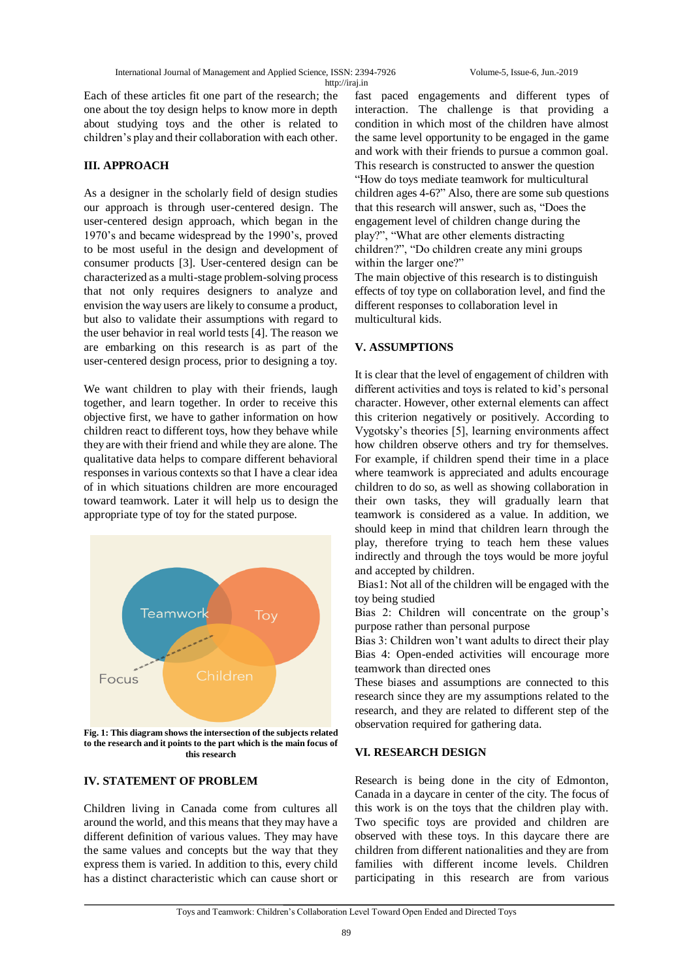Each of these articles fit one part of the research; the one about the toy design helps to know more in depth about studying toys and the other is related to children's play and their collaboration with each other.

### **III. APPROACH**

As a designer in the scholarly field of design studies our approach is through user-centered design. The user-centered design approach, which began in the 1970's and became widespread by the 1990's, proved to be most useful in the design and development of consumer products [3]. User-centered design can be characterized as a multi-stage problem-solving process that not only requires designers to analyze and envision the way users are likely to consume a product, but also to validate their assumptions with regard to the user behavior in real world tests [4]. The reason we are embarking on this research is as part of the user-centered design process, prior to designing a toy.

We want children to play with their friends, laugh together, and learn together. In order to receive this objective first, we have to gather information on how children react to different toys, how they behave while they are with their friend and while they are alone. The qualitative data helps to compare different behavioral responses in various contexts so that I have a clear idea of in which situations children are more encouraged toward teamwork. Later it will help us to design the appropriate type of toy for the stated purpose.



**Fig. 1: This diagram shows the intersection of the subjects related to the research and it points to the part which is the main focus of this research**

### **IV. STATEMENT OF PROBLEM**

Children living in Canada come from cultures all around the world, and this means that they may have a different definition of various values. They may have the same values and concepts but the way that they express them is varied. In addition to this, every child has a distinct characteristic which can cause short or fast paced engagements and different types of interaction. The challenge is that providing a condition in which most of the children have almost the same level opportunity to be engaged in the game and work with their friends to pursue a common goal. This research is constructed to answer the question "How do toys mediate teamwork for multicultural children ages 4-6?" Also, there are some sub questions that this research will answer, such as, "Does the engagement level of children change during the play?", "What are other elements distracting children?", "Do children create any mini groups within the larger one?"

The main objective of this research is to distinguish effects of toy type on collaboration level, and find the different responses to collaboration level in multicultural kids.

### **V. ASSUMPTIONS**

It is clear that the level of engagement of children with different activities and toys is related to kid's personal character. However, other external elements can affect this criterion negatively or positively. According to Vygotsky's theories [5], learning environments affect how children observe others and try for themselves. For example, if children spend their time in a place where teamwork is appreciated and adults encourage children to do so, as well as showing collaboration in their own tasks, they will gradually learn that teamwork is considered as a value. In addition, we should keep in mind that children learn through the play, therefore trying to teach hem these values indirectly and through the toys would be more joyful and accepted by children.

Bias1: Not all of the children will be engaged with the toy being studied

Bias 2: Children will concentrate on the group's purpose rather than personal purpose

Bias 3: Children won't want adults to direct their play Bias 4: Open-ended activities will encourage more teamwork than directed ones

These biases and assumptions are connected to this research since they are my assumptions related to the research, and they are related to different step of the observation required for gathering data.

### **VI. RESEARCH DESIGN**

Research is being done in the city of Edmonton, Canada in a daycare in center of the city. The focus of this work is on the toys that the children play with. Two specific toys are provided and children are observed with these toys. In this daycare there are children from different nationalities and they are from families with different income levels. Children participating in this research are from various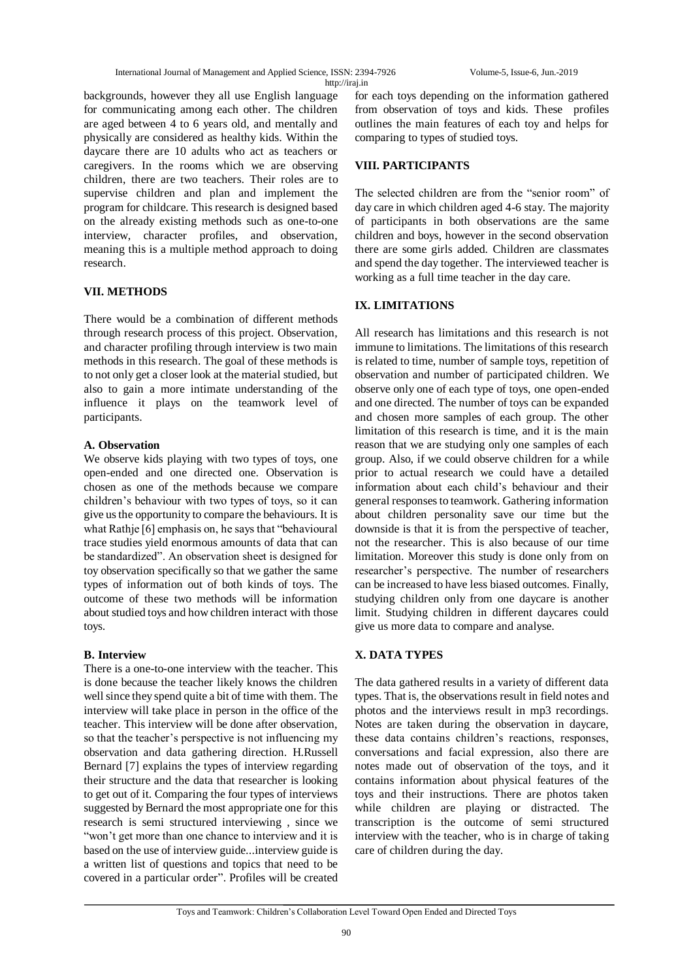backgrounds, however they all use English language for communicating among each other. The children are aged between 4 to 6 years old, and mentally and physically are considered as healthy kids. Within the daycare there are 10 adults who act as teachers or caregivers. In the rooms which we are observing children, there are two teachers. Their roles are to supervise children and plan and implement the program for childcare. This research is designed based on the already existing methods such as one-to-one interview, character profiles, and observation, meaning this is a multiple method approach to doing research.

### **VII. METHODS**

There would be a combination of different methods through research process of this project. Observation, and character profiling through interview is two main methods in this research. The goal of these methods is to not only get a closer look at the material studied, but also to gain a more intimate understanding of the influence it plays on the teamwork level of participants.

### **A. Observation**

We observe kids playing with two types of toys, one open-ended and one directed one. Observation is chosen as one of the methods because we compare children's behaviour with two types of toys, so it can give us the opportunity to compare the behaviours. It is what Rathje [6] emphasis on, he says that "behavioural trace studies yield enormous amounts of data that can be standardized". An observation sheet is designed for toy observation specifically so that we gather the same types of information out of both kinds of toys. The outcome of these two methods will be information about studied toys and how children interact with those toys.

### **B. Interview**

There is a one-to-one interview with the teacher. This is done because the teacher likely knows the children well since they spend quite a bit of time with them. The interview will take place in person in the office of the teacher. This interview will be done after observation, so that the teacher's perspective is not influencing my observation and data gathering direction. H.Russell Bernard [7] explains the types of interview regarding their structure and the data that researcher is looking to get out of it. Comparing the four types of interviews suggested by Bernard the most appropriate one for this research is semi structured interviewing , since we "won't get more than one chance to interview and it is based on the use of interview guide...interview guide is a written list of questions and topics that need to be covered in a particular order". Profiles will be created

for each toys depending on the information gathered from observation of toys and kids. These profiles outlines the main features of each toy and helps for comparing to types of studied toys.

## **VIII. PARTICIPANTS**

The selected children are from the "senior room" of day care in which children aged 4-6 stay. The majority of participants in both observations are the same children and boys, however in the second observation there are some girls added. Children are classmates and spend the day together. The interviewed teacher is working as a full time teacher in the day care.

### **IX. LIMITATIONS**

All research has limitations and this research is not immune to limitations. The limitations of this research is related to time, number of sample toys, repetition of observation and number of participated children. We observe only one of each type of toys, one open-ended and one directed. The number of toys can be expanded and chosen more samples of each group. The other limitation of this research is time, and it is the main reason that we are studying only one samples of each group. Also, if we could observe children for a while prior to actual research we could have a detailed information about each child's behaviour and their general responses to teamwork. Gathering information about children personality save our time but the downside is that it is from the perspective of teacher, not the researcher. This is also because of our time limitation. Moreover this study is done only from on researcher's perspective. The number of researchers can be increased to have less biased outcomes. Finally, studying children only from one daycare is another limit. Studying children in different daycares could give us more data to compare and analyse.

### **X. DATA TYPES**

The data gathered results in a variety of different data types. That is, the observations result in field notes and photos and the interviews result in mp3 recordings. Notes are taken during the observation in daycare, these data contains children's reactions, responses, conversations and facial expression, also there are notes made out of observation of the toys, and it contains information about physical features of the toys and their instructions. There are photos taken while children are playing or distracted. The transcription is the outcome of semi structured interview with the teacher, who is in charge of taking care of children during the day.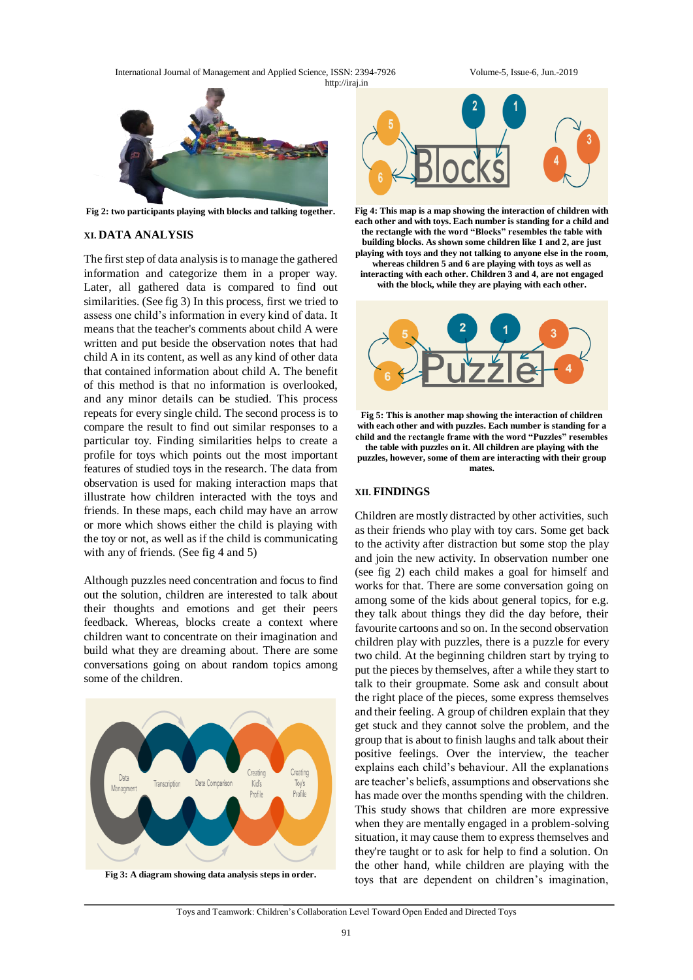International Journal of Management and Applied Science, ISSN: 2394-7926 Volume-5, Issue-6, Jun.-2019 http://iraj.in



**Fig 2: two participants playing with blocks and talking together.**

#### **XI. DATA ANALYSIS**

The first step of data analysis is to manage the gathered information and categorize them in a proper way. Later, all gathered data is compared to find out similarities. (See fig 3) In this process, first we tried to assess one child's information in every kind of data. It means that the teacher's comments about child A were written and put beside the observation notes that had child A in its content, as well as any kind of other data that contained information about child A. The benefit of this method is that no information is overlooked, and any minor details can be studied. This process repeats for every single child. The second process is to compare the result to find out similar responses to a particular toy. Finding similarities helps to create a profile for toys which points out the most important features of studied toys in the research. The data from observation is used for making interaction maps that illustrate how children interacted with the toys and friends. In these maps, each child may have an arrow or more which shows either the child is playing with the toy or not, as well as if the child is communicating with any of friends. (See fig 4 and 5)

Although puzzles need concentration and focus to find out the solution, children are interested to talk about their thoughts and emotions and get their peers feedback. Whereas, blocks create a context where children want to concentrate on their imagination and build what they are dreaming about. There are some conversations going on about random topics among some of the children.



**Fig 3: A diagram showing data analysis steps in order.**



**Fig 4: This map is a map showing the interaction of children with each other and with toys. Each number is standing for a child and the rectangle with the word "Blocks" resembles the table with building blocks. As shown some children like 1 and 2, are just playing with toys and they not talking to anyone else in the room, whereas children 5 and 6 are playing with toys as well as interacting with each other. Children 3 and 4, are not engaged with the block, while they are playing with each other.**



**Fig 5: This is another map showing the interaction of children with each other and with puzzles. Each number is standing for a child and the rectangle frame with the word "Puzzles" resembles the table with puzzles on it. All children are playing with the puzzles, however, some of them are interacting with their group mates.**

#### **XII. FINDINGS**

Children are mostly distracted by other activities, such as their friends who play with toy cars. Some get back to the activity after distraction but some stop the play and join the new activity. In observation number one (see fig 2) each child makes a goal for himself and works for that. There are some conversation going on among some of the kids about general topics, for e.g. they talk about things they did the day before, their favourite cartoons and so on. In the second observation children play with puzzles, there is a puzzle for every two child. At the beginning children start by trying to put the pieces by themselves, after a while they start to talk to their groupmate. Some ask and consult about the right place of the pieces, some express themselves and their feeling. A group of children explain that they get stuck and they cannot solve the problem, and the group that is about to finish laughs and talk about their positive feelings. Over the interview, the teacher explains each child's behaviour. All the explanations are teacher's beliefs, assumptions and observations she has made over the months spending with the children. This study shows that children are more expressive when they are mentally engaged in a problem-solving situation, it may cause them to express themselves and they're taught or to ask for help to find a solution. On the other hand, while children are playing with the toys that are dependent on children's imagination,